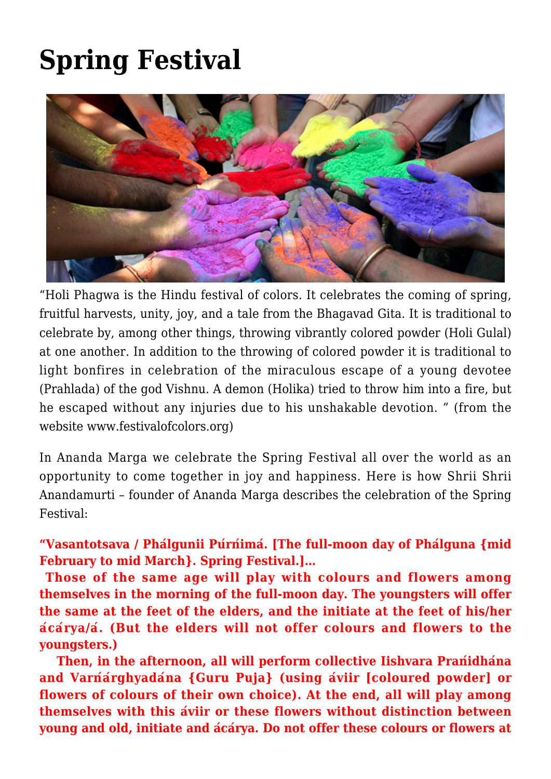## **[Spring Festival](https://crimsondawn.net/portfolio/spring-festival/)**



"Holi Phagwa is the Hindu festival of colors. It celebrates the coming of spring, fruitful harvests, unity, joy, and a tale from the Bhagavad Gita. It is traditional to celebrate by, among other things, throwing vibrantly colored powder (Holi Gulal) at one another. In addition to the throwing of colored powder it is traditional to light bonfires in celebration of the miraculous escape of a young devotee (Prahlada) of the god Vishnu. A demon (Holika) tried to throw him into a fire, but he escaped without any injuries due to his unshakable devotion. " (from the website www.festivalofcolors.org)

In Ananda Marga we celebrate the Spring Festival all over the world as an opportunity to come together in joy and happiness. Here is how Shrii Shrii Anandamurti – founder of Ananda Marga describes the celebration of the Spring Festival:

**"Vasantotsava / Phálgunii Púrńimá. [The full-moon day of Phálguna {mid February to mid March}. Spring Festival.]…**

 **Those of the same age will play with colours and flowers among themselves in the morning of the full-moon day. The youngsters will offer the same at the feet of the elders, and the initiate at the feet of his/her ácárya/á. (But the elders will not offer colours and flowers to the youngsters.)**

 **Then, in the afternoon, all will perform collective Iishvara Prańidhána and Varńárghyadána {Guru Puja} (using áviir [coloured powder] or flowers of colours of their own choice). At the end, all will play among themselves with this áviir or these flowers without distinction between young and old, initiate and ácárya. Do not offer these colours or flowers at**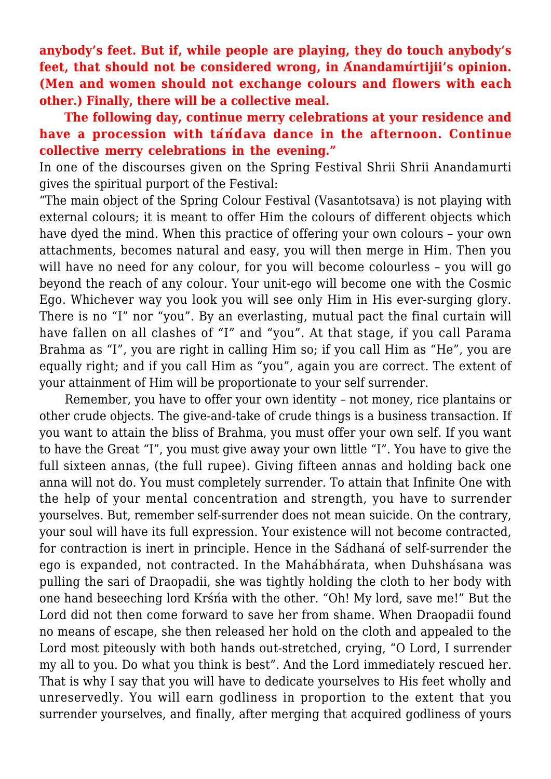**anybody's feet. But if, while people are playing, they do touch anybody's feet, that should not be considered wrong, in Ánandamúrtijii's opinion. (Men and women should not exchange colours and flowers with each other.) Finally, there will be a collective meal.**

 **The following day, continue merry celebrations at your residence and have a procession with táńd́ava dance in the afternoon. Continue collective merry celebrations in the evening."**

In one of the discourses given on the Spring Festival Shrii Shrii Anandamurti gives the spiritual purport of the Festival:

"The main object of the Spring Colour Festival (Vasantotsava) is not playing with external colours; it is meant to offer Him the colours of different objects which have dyed the mind. When this practice of offering your own colours – your own attachments, becomes natural and easy, you will then merge in Him. Then you will have no need for any colour, for you will become colourless – you will go beyond the reach of any colour. Your unit-ego will become one with the Cosmic Ego. Whichever way you look you will see only Him in His ever-surging glory. There is no "I" nor "you". By an everlasting, mutual pact the final curtain will have fallen on all clashes of "I" and "you". At that stage, if you call Parama Brahma as "I", you are right in calling Him so; if you call Him as "He", you are equally right; and if you call Him as "you", again you are correct. The extent of your attainment of Him will be proportionate to your self surrender.

 Remember, you have to offer your own identity – not money, rice plantains or other crude objects. The give-and-take of crude things is a business transaction. If you want to attain the bliss of Brahma, you must offer your own self. If you want to have the Great "I", you must give away your own little "I". You have to give the full sixteen annas, (the full rupee). Giving fifteen annas and holding back one anna will not do. You must completely surrender. To attain that Infinite One with the help of your mental concentration and strength, you have to surrender yourselves. But, remember self-surrender does not mean suicide. On the contrary, your soul will have its full expression. Your existence will not become contracted, for contraction is inert in principle. Hence in the Sádhaná of self-surrender the ego is expanded, not contracted. In the Mahábhárata, when Duhshásana was pulling the sari of Draopadii, she was tightly holding the cloth to her body with one hand beseeching lord Krśńa with the other. "Oh! My lord, save me!" But the Lord did not then come forward to save her from shame. When Draopadii found no means of escape, she then released her hold on the cloth and appealed to the Lord most piteously with both hands out-stretched, crying, "O Lord, I surrender my all to you. Do what you think is best". And the Lord immediately rescued her. That is why I say that you will have to dedicate yourselves to His feet wholly and unreservedly. You will earn godliness in proportion to the extent that you surrender yourselves, and finally, after merging that acquired godliness of yours